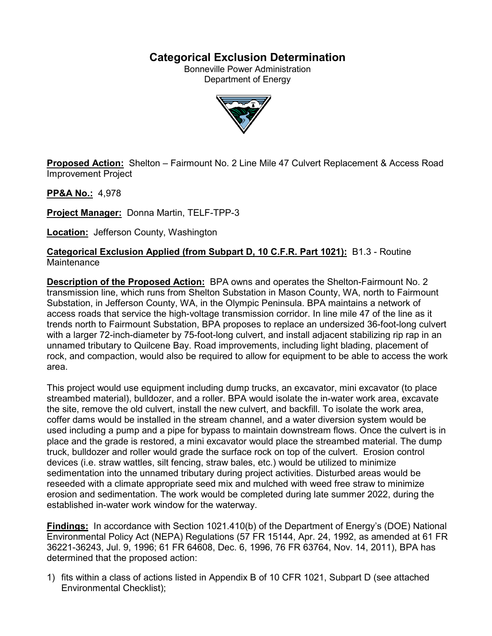# **Categorical Exclusion Determination**

Bonneville Power Administration Department of Energy



**Proposed Action:** Shelton – Fairmount No. 2 Line Mile 47 Culvert Replacement & Access Road Improvement Project

**PP&A No.:** 4,978

**Project Manager:** Donna Martin, TELF-TPP-3

**Location:** Jefferson County, Washington

## **Categorical Exclusion Applied (from Subpart D, 10 C.F.R. Part 1021):** B1.3 - Routine **Maintenance**

**Description of the Proposed Action:** BPA owns and operates the Shelton-Fairmount No. 2 transmission line, which runs from Shelton Substation in Mason County, WA, north to Fairmount Substation, in Jefferson County, WA, in the Olympic Peninsula. BPA maintains a network of access roads that service the high-voltage transmission corridor. In line mile 47 of the line as it trends north to Fairmount Substation, BPA proposes to replace an undersized 36-foot-long culvert with a larger 72-inch-diameter by 75-foot-long culvert, and install adjacent stabilizing rip rap in an unnamed tributary to Quilcene Bay. Road improvements, including light blading, placement of rock, and compaction, would also be required to allow for equipment to be able to access the work area.

This project would use equipment including dump trucks, an excavator, mini excavator (to place streambed material), bulldozer, and a roller. BPA would isolate the in-water work area, excavate the site, remove the old culvert, install the new culvert, and backfill. To isolate the work area, coffer dams would be installed in the stream channel, and a water diversion system would be used including a pump and a pipe for bypass to maintain downstream flows. Once the culvert is in place and the grade is restored, a mini excavator would place the streambed material. The dump truck, bulldozer and roller would grade the surface rock on top of the culvert. Erosion control devices (i.e. straw wattles, silt fencing, straw bales, etc.) would be utilized to minimize sedimentation into the unnamed tributary during project activities. Disturbed areas would be reseeded with a climate appropriate seed mix and mulched with weed free straw to minimize erosion and sedimentation. The work would be completed during late summer 2022, during the established in-water work window for the waterway.

**Findings:** In accordance with Section 1021.410(b) of the Department of Energy's (DOE) National Environmental Policy Act (NEPA) Regulations (57 FR 15144, Apr. 24, 1992, as amended at 61 FR 36221-36243, Jul. 9, 1996; 61 FR 64608, Dec. 6, 1996, 76 FR 63764, Nov. 14, 2011), BPA has determined that the proposed action:

1) fits within a class of actions listed in Appendix B of 10 CFR 1021, Subpart D (see attached Environmental Checklist);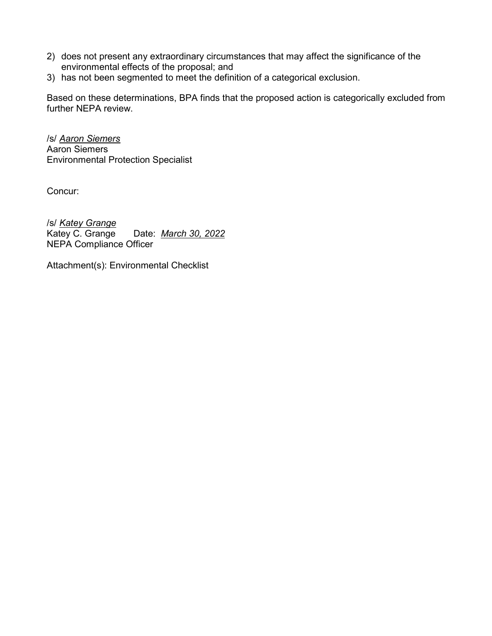- 2) does not present any extraordinary circumstances that may affect the significance of the environmental effects of the proposal; and
- 3) has not been segmented to meet the definition of a categorical exclusion.

Based on these determinations, BPA finds that the proposed action is categorically excluded from further NEPA review.

/s/ *Aaron Siemers* Aaron Siemers Environmental Protection Specialist

Concur:

/s/ *Katey Grange* Date: *March 30, 2022* NEPA Compliance Officer

Attachment(s): Environmental Checklist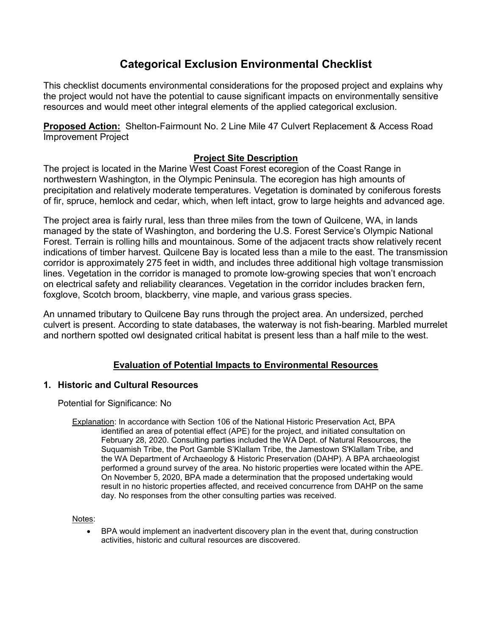# **Categorical Exclusion Environmental Checklist**

This checklist documents environmental considerations for the proposed project and explains why the project would not have the potential to cause significant impacts on environmentally sensitive resources and would meet other integral elements of the applied categorical exclusion.

**Proposed Action:** Shelton-Fairmount No. 2 Line Mile 47 Culvert Replacement & Access Road Improvement Project

# **Project Site Description**

The project is located in the Marine West Coast Forest ecoregion of the Coast Range in northwestern Washington, in the Olympic Peninsula. The ecoregion has high amounts of precipitation and relatively moderate temperatures. Vegetation is dominated by coniferous forests of fir, spruce, hemlock and cedar, which, when left intact, grow to large heights and advanced age.

The project area is fairly rural, less than three miles from the town of Quilcene, WA, in lands managed by the state of Washington, and bordering the U.S. Forest Service's Olympic National Forest. Terrain is rolling hills and mountainous. Some of the adjacent tracts show relatively recent indications of timber harvest. Quilcene Bay is located less than a mile to the east. The transmission corridor is approximately 275 feet in width, and includes three additional high voltage transmission lines. Vegetation in the corridor is managed to promote low-growing species that won't encroach on electrical safety and reliability clearances. Vegetation in the corridor includes bracken fern, foxglove, Scotch broom, blackberry, vine maple, and various grass species.

An unnamed tributary to Quilcene Bay runs through the project area. An undersized, perched culvert is present. According to state databases, the waterway is not fish-bearing. Marbled murrelet and northern spotted owl designated critical habitat is present less than a half mile to the west.

# **Evaluation of Potential Impacts to Environmental Resources**

# **1. Historic and Cultural Resources**

Potential for Significance: No

Explanation: In accordance with Section 106 of the National Historic Preservation Act, BPA identified an area of potential effect (APE) for the project, and initiated consultation on February 28, 2020. Consulting parties included the WA Dept. of Natural Resources, the Suquamish Tribe, the Port Gamble S'Klallam Tribe, the Jamestown S'Klallam Tribe, and the WA Department of Archaeology & Historic Preservation (DAHP). A BPA archaeologist performed a ground survey of the area. No historic properties were located within the APE. On November 5, 2020, BPA made a determination that the proposed undertaking would result in no historic properties affected, and received concurrence from DAHP on the same day. No responses from the other consulting parties was received.

Notes:

• BPA would implement an inadvertent discovery plan in the event that, during construction activities, historic and cultural resources are discovered.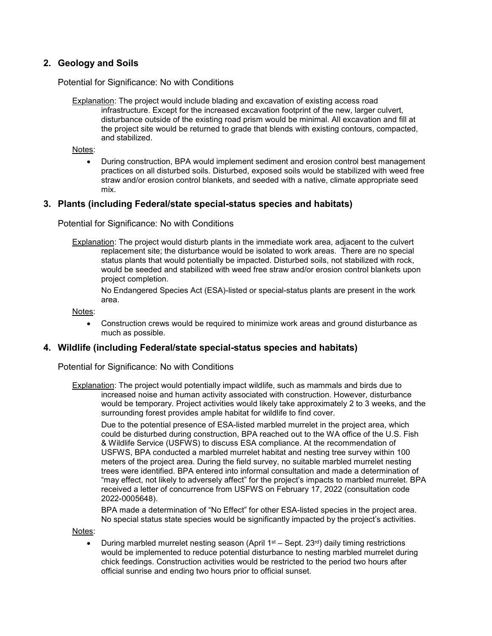## **2. Geology and Soils**

Potential for Significance: No with Conditions

Explanation: The project would include blading and excavation of existing access road infrastructure. Except for the increased excavation footprint of the new, larger culvert, disturbance outside of the existing road prism would be minimal. All excavation and fill at the project site would be returned to grade that blends with existing contours, compacted, and stabilized.

Notes:

• During construction, BPA would implement sediment and erosion control best management practices on all disturbed soils. Disturbed, exposed soils would be stabilized with weed free straw and/or erosion control blankets, and seeded with a native, climate appropriate seed mix.

### **3. Plants (including Federal/state special-status species and habitats)**

Potential for Significance: No with Conditions

Explanation: The project would disturb plants in the immediate work area, adjacent to the culvert replacement site; the disturbance would be isolated to work areas. There are no special status plants that would potentially be impacted. Disturbed soils, not stabilized with rock, would be seeded and stabilized with weed free straw and/or erosion control blankets upon project completion.

No Endangered Species Act (ESA)-listed or special-status plants are present in the work area.

Notes:

• Construction crews would be required to minimize work areas and ground disturbance as much as possible.

#### **4. Wildlife (including Federal/state special-status species and habitats)**

Potential for Significance: No with Conditions

Explanation: The project would potentially impact wildlife, such as mammals and birds due to increased noise and human activity associated with construction. However, disturbance would be temporary. Project activities would likely take approximately 2 to 3 weeks, and the surrounding forest provides ample habitat for wildlife to find cover.

Due to the potential presence of ESA-listed marbled murrelet in the project area, which could be disturbed during construction, BPA reached out to the WA office of the U.S. Fish & Wildlife Service (USFWS) to discuss ESA compliance. At the recommendation of USFWS, BPA conducted a marbled murrelet habitat and nesting tree survey within 100 meters of the project area. During the field survey, no suitable marbled murrelet nesting trees were identified. BPA entered into informal consultation and made a determination of "may effect, not likely to adversely affect" for the project's impacts to marbled murrelet. BPA received a letter of concurrence from USFWS on February 17, 2022 (consultation code 2022-0005648).

BPA made a determination of "No Effect" for other ESA-listed species in the project area. No special status state species would be significantly impacted by the project's activities.

Notes:

During marbled murrelet nesting season (April  $1<sup>st</sup>$  – Sept. 23<sup>rd</sup>) daily timing restrictions would be implemented to reduce potential disturbance to nesting marbled murrelet during chick feedings. Construction activities would be restricted to the period two hours after official sunrise and ending two hours prior to official sunset.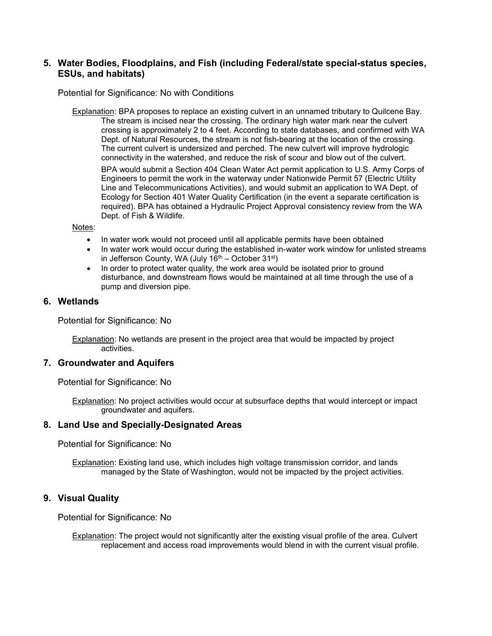### **5. Water Bodies, Floodplains, and Fish (including Federal/state special-status species, ESUs, and habitats)**

Potential for Significance: No with Conditions

Explanation: BPA proposes to replace an existing culvert in an unnamed tributary to Quilcene Bay. The stream is incised near the crossing. The ordinary high water mark near the culvert crossing is approximately 2 to 4 feet. According to state databases, and confirmed with WA Dept. of Natural Resources, the stream is not fish-bearing at the location of the crossing. The current culvert is undersized and perched. The new culvert will improve hydrologic connectivity in the watershed, and reduce the risk of scour and blow out of the culvert.

BPA would submit a Section 404 Clean Water Act permit application to U.S. Army Corps of Engineers to permit the work in the waterway under Nationwide Permit 57 (Electric Utility Line and Telecommunications Activities), and would submit an application to WA Dept. of Ecology for Section 401 Water Quality Certification (in the event a separate certification is required). BPA has obtained a Hydraulic Project Approval consistency review from the WA Dept. of Fish & Wildlife.

Notes:

- In water work would not proceed until all applicable permits have been obtained
- In water work would occur during the established in-water work window for unlisted streams in Jefferson County, WA (July  $16<sup>th</sup>$  – October  $31<sup>st</sup>$ )
- In order to protect water quality, the work area would be isolated prior to ground disturbance, and downstream flows would be maintained at all time through the use of a pump and diversion pipe.

#### **6. Wetlands**

Potential for Significance: No

Explanation: No wetlands are present in the project area that would be impacted by project activities.

#### **7. Groundwater and Aquifers**

Potential for Significance: No

Explanation: No project activities would occur at subsurface depths that would intercept or impact groundwater and aquifers.

#### **8. Land Use and Specially-Designated Areas**

Potential for Significance: No

**Explanation:** Existing land use, which includes high voltage transmission corridor, and lands managed by the State of Washington, would not be impacted by the project activities.

#### **9. Visual Quality**

Potential for Significance: No

Explanation: The project would not significantly alter the existing visual profile of the area. Culvert replacement and access road improvements would blend in with the current visual profile.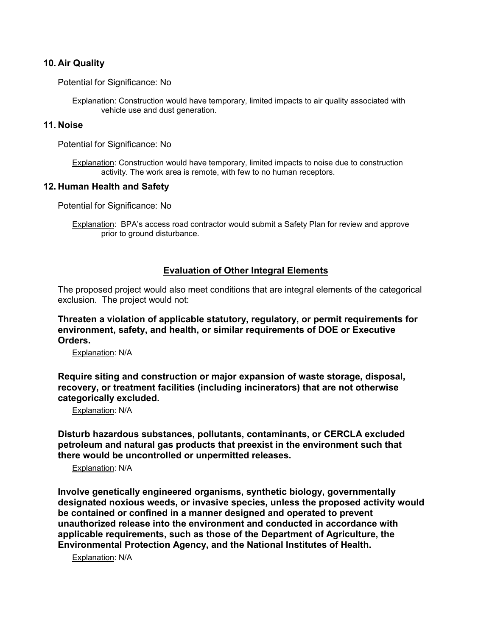### **10. Air Quality**

Potential for Significance: No

Explanation: Construction would have temporary, limited impacts to air quality associated with vehicle use and dust generation.

### **11. Noise**

Potential for Significance: No

Explanation: Construction would have temporary, limited impacts to noise due to construction activity. The work area is remote, with few to no human receptors.

#### **12. Human Health and Safety**

Potential for Significance: No

Explanation: BPA's access road contractor would submit a Safety Plan for review and approve prior to ground disturbance.

#### **Evaluation of Other Integral Elements**

The proposed project would also meet conditions that are integral elements of the categorical exclusion. The project would not:

**Threaten a violation of applicable statutory, regulatory, or permit requirements for environment, safety, and health, or similar requirements of DOE or Executive Orders.**

Explanation: N/A

**Require siting and construction or major expansion of waste storage, disposal, recovery, or treatment facilities (including incinerators) that are not otherwise categorically excluded.**

Explanation: N/A

**Disturb hazardous substances, pollutants, contaminants, or CERCLA excluded petroleum and natural gas products that preexist in the environment such that there would be uncontrolled or unpermitted releases.**

Explanation: N/A

**Involve genetically engineered organisms, synthetic biology, governmentally designated noxious weeds, or invasive species, unless the proposed activity would be contained or confined in a manner designed and operated to prevent unauthorized release into the environment and conducted in accordance with applicable requirements, such as those of the Department of Agriculture, the Environmental Protection Agency, and the National Institutes of Health.**

Explanation: N/A